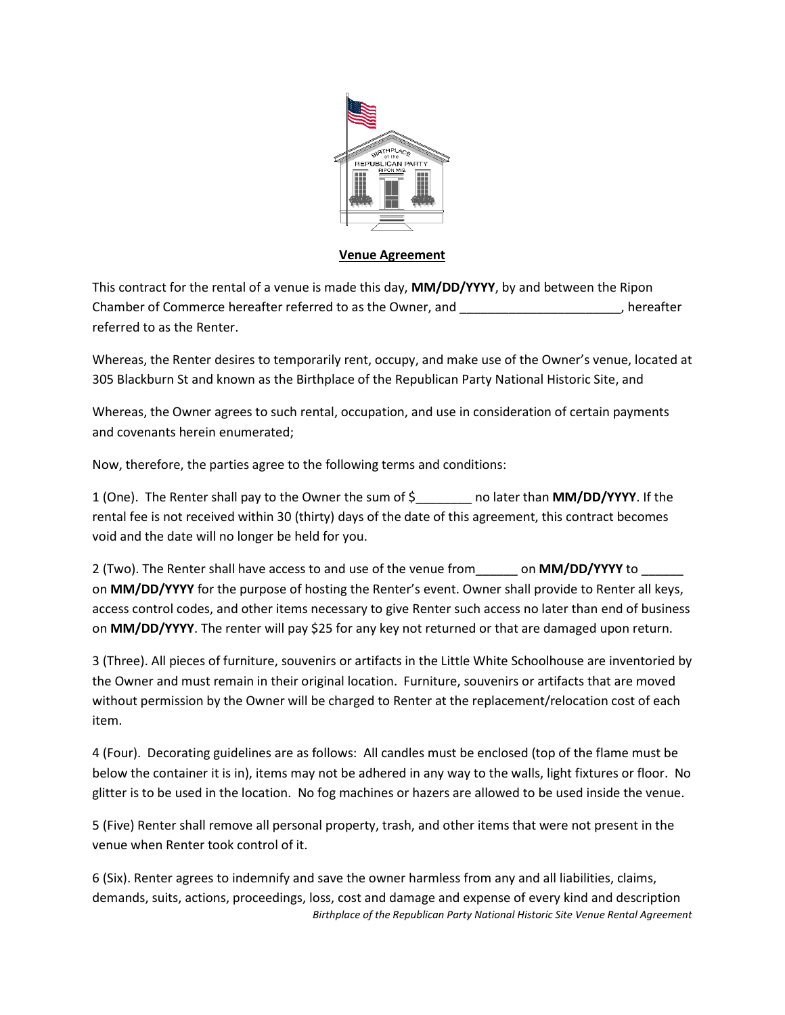

## **Venue Agreement**

This contract for the rental of a venue is made this day, **MM/DD/YYYY**, by and between the Ripon Chamber of Commerce hereafter referred to as the Owner, and  $\Box$ , hereafter referred to as the Renter.

Whereas, the Renter desires to temporarily rent, occupy, and make use of the Owner's venue, located at 305 Blackburn St and known as the Birthplace of the Republican Party National Historic Site, and

Whereas, the Owner agrees to such rental, occupation, and use in consideration of certain payments and covenants herein enumerated;

Now, therefore, the parties agree to the following terms and conditions:

1 (One). The Renter shall pay to the Owner the sum of \$\_\_\_\_\_\_\_\_ no later than **MM/DD/YYYY**. If the rental fee is not received within 30 (thirty) days of the date of this agreement, this contract becomes void and the date will no longer be held for you.

2 (Two). The Renter shall have access to and use of the venue from\_\_\_\_\_\_ on **MM/DD/YYYY** to \_\_\_\_\_\_ on **MM/DD/YYYY** for the purpose of hosting the Renter's event. Owner shall provide to Renter all keys, access control codes, and other items necessary to give Renter such access no later than end of business on **MM/DD/YYYY**. The renter will pay \$25 for any key not returned or that are damaged upon return.

3 (Three). All pieces of furniture, souvenirs or artifacts in the Little White Schoolhouse are inventoried by the Owner and must remain in their original location. Furniture, souvenirs or artifacts that are moved without permission by the Owner will be charged to Renter at the replacement/relocation cost of each item.

4 (Four). Decorating guidelines are as follows: All candles must be enclosed (top of the flame must be below the container it is in), items may not be adhered in any way to the walls, light fixtures or floor. No glitter is to be used in the location. No fog machines or hazers are allowed to be used inside the venue.

5 (Five) Renter shall remove all personal property, trash, and other items that were not present in the venue when Renter took control of it.

*Birthplace of the Republican Party National Historic Site Venue Rental Agreement* 6 (Six). Renter agrees to indemnify and save the owner harmless from any and all liabilities, claims, demands, suits, actions, proceedings, loss, cost and damage and expense of every kind and description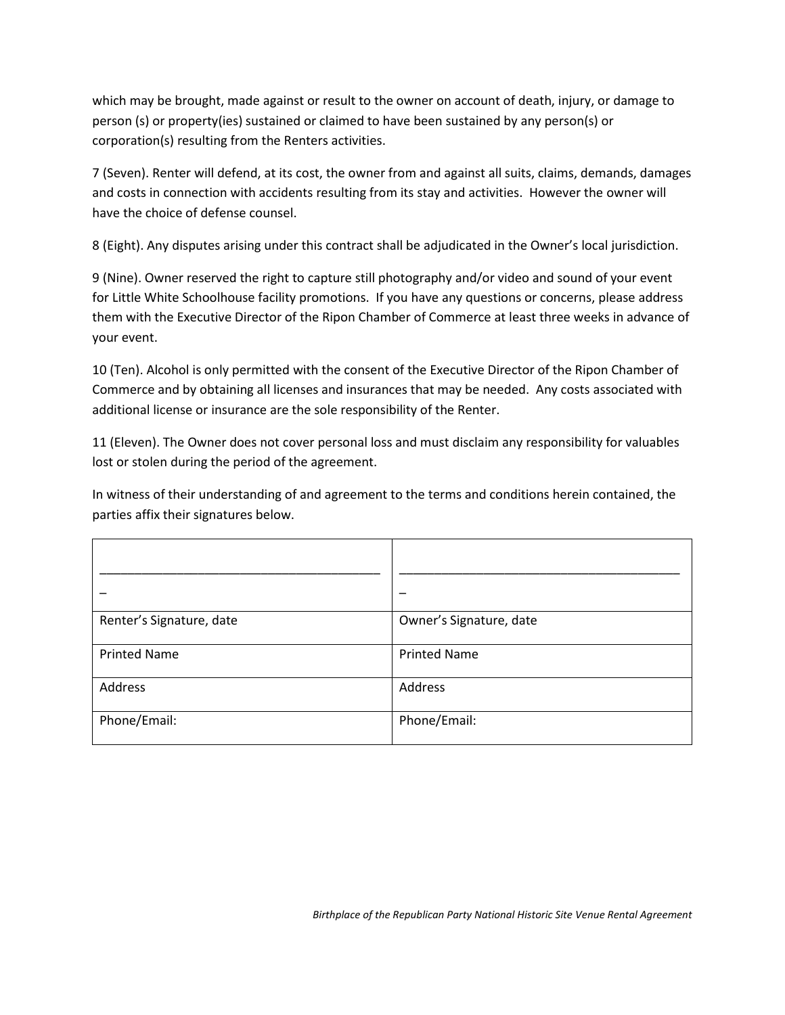which may be brought, made against or result to the owner on account of death, injury, or damage to person (s) or property(ies) sustained or claimed to have been sustained by any person(s) or corporation(s) resulting from the Renters activities.

7 (Seven). Renter will defend, at its cost, the owner from and against all suits, claims, demands, damages and costs in connection with accidents resulting from its stay and activities. However the owner will have the choice of defense counsel.

8 (Eight). Any disputes arising under this contract shall be adjudicated in the Owner's local jurisdiction.

9 (Nine). Owner reserved the right to capture still photography and/or video and sound of your event for Little White Schoolhouse facility promotions. If you have any questions or concerns, please address them with the Executive Director of the Ripon Chamber of Commerce at least three weeks in advance of your event.

10 (Ten). Alcohol is only permitted with the consent of the Executive Director of the Ripon Chamber of Commerce and by obtaining all licenses and insurances that may be needed. Any costs associated with additional license or insurance are the sole responsibility of the Renter.

11 (Eleven). The Owner does not cover personal loss and must disclaim any responsibility for valuables lost or stolen during the period of the agreement.

In witness of their understanding of and agreement to the terms and conditions herein contained, the parties affix their signatures below.

| Renter's Signature, date | Owner's Signature, date |
|--------------------------|-------------------------|
| <b>Printed Name</b>      | <b>Printed Name</b>     |
| Address                  | Address                 |
| Phone/Email:             | Phone/Email:            |